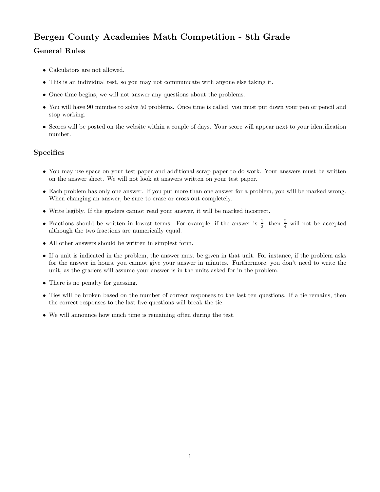## Bergen County Academies Math Competition - 8th Grade

## General Rules

- Calculators are not allowed.
- This is an individual test, so you may not communicate with anyone else taking it.
- Once time begins, we will not answer any questions about the problems.
- You will have 90 minutes to solve 50 problems. Once time is called, you must put down your pen or pencil and stop working.
- Scores will be posted on the website within a couple of days. Your score will appear next to your identification number.

## **Specifics**

- You may use space on your test paper and additional scrap paper to do work. Your answers must be written on the answer sheet. We will not look at answers written on your test paper.
- Each problem has only one answer. If you put more than one answer for a problem, you will be marked wrong. When changing an answer, be sure to erase or cross out completely.
- Write legibly. If the graders cannot read your answer, it will be marked incorrect.
- Fractions should be written in lowest terms. For example, if the answer is  $\frac{1}{2}$ , then  $\frac{2}{4}$  will not be accepted although the two fractions are numerically equal.
- All other answers should be written in simplest form.
- If a unit is indicated in the problem, the answer must be given in that unit. For instance, if the problem asks for the answer in hours, you cannot give your answer in minutes. Furthermore, you don't need to write the unit, as the graders will assume your answer is in the units asked for in the problem.
- There is no penalty for guessing.
- Ties will be broken based on the number of correct responses to the last ten questions. If a tie remains, then the correct responses to the last five questions will break the tie.
- We will announce how much time is remaining often during the test.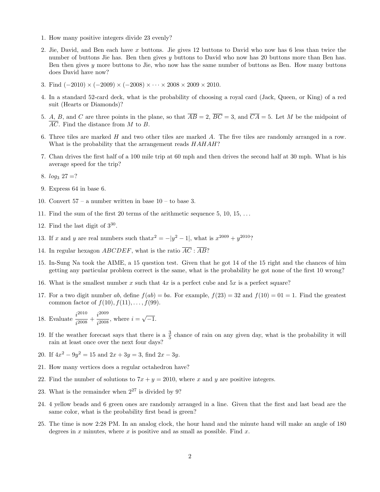- 1. How many positive integers divide 23 evenly?
- 2. Jie, David, and Ben each have x buttons. Jie gives 12 buttons to David who now has 6 less than twice the number of buttons Jie has. Ben then gives y buttons to David who now has 20 buttons more than Ben has. Ben then gives y more buttons to Jie, who now has the same number of buttons as Ben. How many buttons does David have now?
- 3. Find  $(-2010) \times (-2009) \times (-2008) \times \cdots \times 2008 \times 2009 \times 2010$ .
- 4. In a standard 52-card deck, what is the probability of choosing a royal card (Jack, Queen, or King) of a red suit (Hearts or Diamonds)?
- 5. A, B, and C are three points in the plane, so that  $\overline{AB} = 2$ ,  $\overline{BC} = 3$ , and  $\overline{CA} = 5$ . Let M be the midpoint of  $\overline{AC}$ . Find the distance from M to B.
- 6. Three tiles are marked H and two other tiles are marked A. The five tiles are randomly arranged in a row. What is the probability that the arrangement reads  $HAHAH$ ?
- 7. Chan drives the first half of a 100 mile trip at 60 mph and then drives the second half at 30 mph. What is his average speed for the trip?
- 8.  $log_3 27 = ?$
- 9. Express 64 in base 6.
- 10. Convert 57 a number written in base 10 to base 3.
- 11. Find the sum of the first 20 terms of the arithmetic sequence  $5, 10, 15, \ldots$
- 12. Find the last digit of  $3^{30}$ .
- 13. If x and y are real numbers such that  $x^2 = -|y^2 1|$ , what is  $x^{2009} + y^{2010}$ ?
- 14. In regular hexagon ABCDEF, what is the ratio  $\overline{AC}$ :  $\overline{AB}$ ?
- 15. In-Sung Na took the AIME, a 15 question test. Given that he got 14 of the 15 right and the chances of him getting any particular problem correct is the same, what is the probability he got none of the first 10 wrong?
- 16. What is the smallest number x such that  $4x$  is a perfect cube and  $5x$  is a perfect square?
- 17. For a two digit number ab, define  $f(ab) = ba$ . For example,  $f(23) = 32$  and  $f(10) = 01 = 1$ . Find the greatest common factor of  $f(10), f(11), \ldots, f(99)$ .
- 18. Evaluate  $\frac{i^{2010}}{2008}$  $\frac{i^{2010}}{i^{2008}} + \frac{i^{2009}}{i^{2008}}$  $i^{2009}$ , where  $i = \sqrt{-1}$ .
- 19. If the weather forecast says that there is a  $\frac{3}{5}$  chance of rain on any given day, what is the probability it will rain at least once over the next four days?
- 20. If  $4x^2 9y^2 = 15$  and  $2x + 3y = 3$ , find  $2x 3y$ .
- 21. How many vertices does a regular octahedron have?
- 22. Find the number of solutions to  $7x + y = 2010$ , where x and y are positive integers.
- 23. What is the remainder when  $2^{27}$  is divided by 9?
- 24. 4 yellow beads and 6 green ones are randomly arranged in a line. Given that the first and last bead are the same color, what is the probability first bead is green?
- 25. The time is now 2:28 PM. In an analog clock, the hour hand and the minute hand will make an angle of 180 degrees in x minutes, where x is positive and as small as possible. Find  $x$ .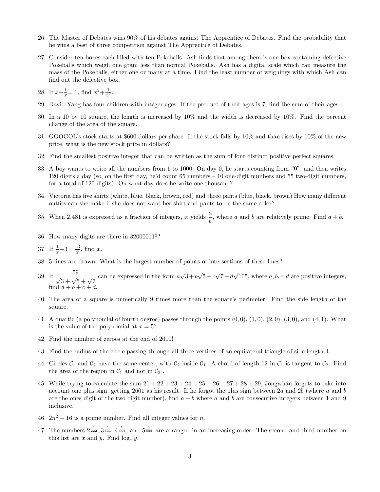- 26. The Master of Debates wins 90% of his debates against The Apprentice of Debates. Find the probability that he wins a best of three competition against The Apprentice of Debates.
- 27. Consider ten boxes each filled with ten Pokeballs. Ash finds that among them is one box containing defective Pokeballs which weigh one gram less than normal Pokeballs. Ash has a digital scale which can measure the mass of the Pokeballs, either one or many at a time. Find the least number of weighings with which Ash can find out the defective box.
- 28. If  $x+\frac{1}{x}$  $\frac{1}{x} = 1$ , find  $x^2 + \frac{1}{x^2}$  $\frac{1}{x^2}$ .
- 29. David Yang has four children with integer ages. If the product of their ages is 7, find the sum of their ages.
- 30. In a 10 by 10 square, the length is increased by 10% and the width is decreased by 10%. Find the percent change of the area of the square.
- 31. GOOGOL's stock starts at \$600 dollars per share. If the stock falls by 10% and than rises by 10% of the new price, what is the new stock price in dollars?
- 32. Find the smallest positive integer that can be written as the sum of four distinct positive perfect squares.
- 33. A boy wants to write all the numbers from 1 to 1000. On day 0, he starts counting from "0", and then writes 120 digits a day (so, on the first day, he'd count 65 numbers – 10 one-digit numbers and 55 two-digit numbers, for a total of 120 digits). On what day does he write one thousand?
- 34. Victoria has five shirts (white, blue, black, brown, red) and three pants (blue, black, brown) How many different outfits can she make if she does not want her shirt and pants to be the same color?
- 35. When 2.481 is expressed as a fraction of integers, it yields  $\frac{a}{b}$ , where a and b are relatively prime. Find  $a + b$ .
- 36. How many digits are there in 32000011<sup>2</sup> ?
- 37. If  $\frac{1}{x}+3=\frac{13}{x}$ , find x.
- 38. 5 lines are drawn. What is the largest number of points of intersections of these lines?
- 39. If  $\frac{59}{\sqrt{3} + \sqrt{5} + \sqrt{7}}$  can be expressed in the form a √  $3+b$ √  $5+c$ √  $7-d$  $√($ 105, where  $a, b, c, d$  are positive integers, find  $a + b + c + d$ .
- 40. The area of a square is numerically 9 times more than the square's perimeter. Find the side length of the square.
- 41. A quartic (a polynomial of fourth degree) passes through the points  $(0, 0)$ ,  $(1, 0)$ ,  $(2, 0)$ ,  $(3, 0)$ , and  $(4, 1)$ . What is the value of the polynomial at  $x = 5$ ?
- 42. Find the number of zeroes at the end of 2010!.
- 43. Find the radius of the circle passing through all three vertices of an equilateral triangle of side length 4.
- 44. Circles  $C_1$  and  $C_2$  have the same center, with  $C_2$  inside  $C_1$ . A chord of length 12 in  $C_1$  is tangent to  $C_2$ . Find the area of the region in  $C_1$  and not in  $C_2$ .
- 45. While trying to calculate the sum  $21 + 22 + 23 + 24 + 25 + 26 + 27 + 28 + 29$ . Jongwhan forgets to take into account one plus sign, getting 2601 as his result. If he forgot the plus sign between 2a and 2b (where a and b are the ones digit of the two digit number), find  $a + b$  where a and b are consecutive integers between 1 and 9 inclusive.
- 46.  $2n^2 16$  is a prime number. Find all integer values for n.
- 47. The numbers  $2^{\frac{1}{222}}$ ,  $3^{\frac{1}{333}}$ ,  $4^{\frac{1}{444}}$ , and  $5^{\frac{1}{555}}$  are arranged in an increasing order. The second and third number on this list are x and y. Find  $\log_{x} y$ .